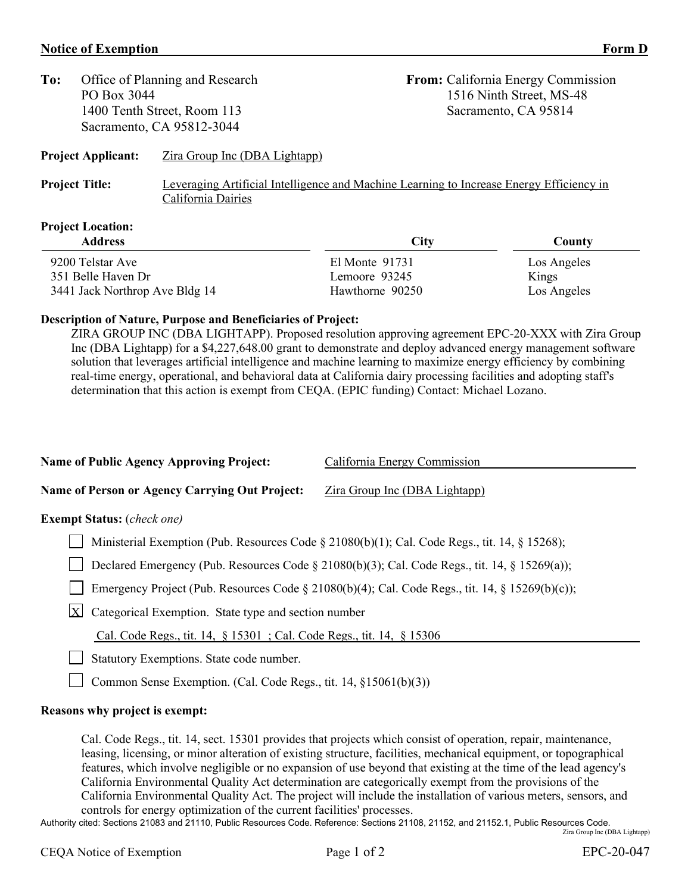## **Notice of Exemption** Form D

| To:                         | Office of Planning and Research |                                                                                                                | From: California Energy Commission |  |  |  |
|-----------------------------|---------------------------------|----------------------------------------------------------------------------------------------------------------|------------------------------------|--|--|--|
|                             | PO Box 3044                     |                                                                                                                | 1516 Ninth Street, MS-48           |  |  |  |
| 1400 Tenth Street, Room 113 |                                 |                                                                                                                | Sacramento, CA 95814               |  |  |  |
| Sacramento, CA 95812-3044   |                                 |                                                                                                                |                                    |  |  |  |
|                             | <b>Project Applicant:</b>       | Zira Group Inc (DBA Lightapp)                                                                                  |                                    |  |  |  |
|                             | <b>Project Title:</b>           | Leveraging Artificial Intelligence and Machine Learning to Increase Energy Efficiency in<br>California Dairies |                                    |  |  |  |
|                             | <b>Project Location:</b>        |                                                                                                                |                                    |  |  |  |

| <b>Address</b>                 | <b>City</b>      | County      |
|--------------------------------|------------------|-------------|
| 9200 Telstar Ave               | $El Monte$ 91731 | Los Angeles |
| 351 Belle Haven Dr             | Lemoore 93245    | Kings       |
| 3441 Jack Northrop Ave Bldg 14 | Hawthorne 90250  | Los Angeles |

## **Description of Nature, Purpose and Beneficiaries of Project:**

ZIRA GROUP INC (DBA LIGHTAPP). Proposed resolution approving agreement EPC-20-XXX with Zira Group Inc (DBA Lightapp) for a \$4,227,648.00 grant to demonstrate and deploy advanced energy management software solution that leverages artificial intelligence and machine learning to maximize energy efficiency by combining real-time energy, operational, and behavioral data at California dairy processing facilities and adopting staff's determination that this action is exempt from CEQA. (EPIC funding) Contact: Michael Lozano.

| <b>Name of Public Agency Approving Project:</b>                                                 | California Energy Commission                                                                  |  |  |  |  |
|-------------------------------------------------------------------------------------------------|-----------------------------------------------------------------------------------------------|--|--|--|--|
| <b>Name of Person or Agency Carrying Out Project:</b>                                           | Zira Group Inc (DBA Lightapp)                                                                 |  |  |  |  |
| <b>Exempt Status:</b> ( <i>check one</i> )                                                      |                                                                                               |  |  |  |  |
| Ministerial Exemption (Pub. Resources Code § 21080(b)(1); Cal. Code Regs., tit. 14, § 15268);   |                                                                                               |  |  |  |  |
|                                                                                                 | Declared Emergency (Pub. Resources Code § 21080(b)(3); Cal. Code Regs., tit. 14, § 15269(a)); |  |  |  |  |
| Emergency Project (Pub. Resources Code § 21080(b)(4); Cal. Code Regs., tit. 14, § 15269(b)(c)); |                                                                                               |  |  |  |  |
| $\mathbf{X}$<br>Categorical Exemption. State type and section number                            |                                                                                               |  |  |  |  |
| Cal. Code Regs., tit. 14, § 15301; Cal. Code Regs., tit. 14, § 15306                            |                                                                                               |  |  |  |  |
| Statutory Exemptions. State code number.                                                        |                                                                                               |  |  |  |  |
|                                                                                                 |                                                                                               |  |  |  |  |

Common Sense Exemption. (Cal. Code Regs., tit. 14,  $\S15061(b)(3)$ )

## **Reasons why project is exempt:**

Cal. Code Regs., tit. 14, sect. 15301 provides that projects which consist of operation, repair, maintenance, leasing, licensing, or minor alteration of existing structure, facilities, mechanical equipment, or topographical features, which involve negligible or no expansion of use beyond that existing at the time of the lead agency's California Environmental Quality Act determination are categorically exempt from the provisions of the California Environmental Quality Act. The project will include the installation of various meters, sensors, and controls for energy optimization of the current facilities' processes.

Authority cited: Sections 21083 and 21110, Public Resources Code. Reference: Sections 21108, 21152, and 21152.1, Public Resources Code. Zira Group Inc (DBA Lightapp)